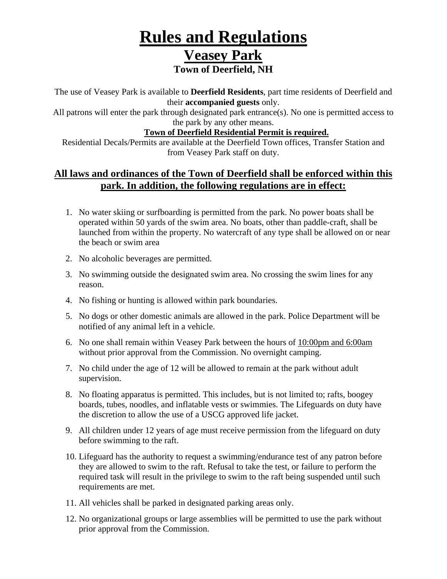# **Rules and Regulations Veasey Park Town of Deerfield, NH**

The use of Veasey Park is available to **Deerfield Residents**, part time residents of Deerfield and their **accompanied guests** only.

All patrons will enter the park through designated park entrance(s). No one is permitted access to the park by any other means.

#### **Town of Deerfield Residential Permit is required.**

Residential Decals/Permits are available at the Deerfield Town offices, Transfer Station and from Veasey Park staff on duty.

### **All laws and ordinances of the Town of Deerfield shall be enforced within this park. In addition, the following regulations are in effect:**

- 1. No water skiing or surfboarding is permitted from the park. No power boats shall be operated within 50 yards of the swim area. No boats, other than paddle-craft, shall be launched from within the property. No watercraft of any type shall be allowed on or near the beach or swim area
- 2. No alcoholic beverages are permitted.
- 3. No swimming outside the designated swim area. No crossing the swim lines for any reason.
- 4. No fishing or hunting is allowed within park boundaries.
- 5. No dogs or other domestic animals are allowed in the park. Police Department will be notified of any animal left in a vehicle.
- 6. No one shall remain within Veasey Park between the hours of 10:00pm and 6:00am without prior approval from the Commission. No overnight camping.
- 7. No child under the age of 12 will be allowed to remain at the park without adult supervision.
- 8. No floating apparatus is permitted. This includes, but is not limited to; rafts, boogey boards, tubes, noodles, and inflatable vests or swimmies. The Lifeguards on duty have the discretion to allow the use of a USCG approved life jacket.
- 9. All children under 12 years of age must receive permission from the lifeguard on duty before swimming to the raft.
- 10. Lifeguard has the authority to request a swimming/endurance test of any patron before they are allowed to swim to the raft. Refusal to take the test, or failure to perform the required task will result in the privilege to swim to the raft being suspended until such requirements are met.
- 11. All vehicles shall be parked in designated parking areas only.
- 12. No organizational groups or large assemblies will be permitted to use the park without prior approval from the Commission.